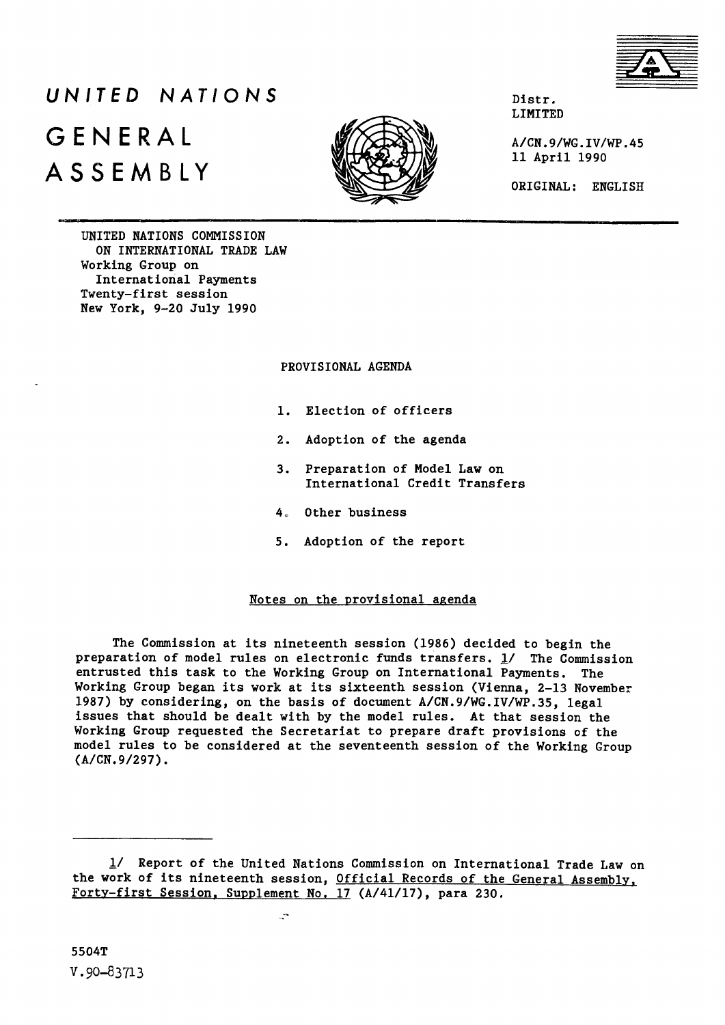

# *UNITED NATIONS* GENERAL ASSEMBLY



**Distr. LIMITED**

**A/CN.9/WG.IV/WP.45 11 April 1990**

**ORIGINAL: ENGLISH**

**UNITED NATIONS COMMISSION ON INTERNATIONAL TRADE LAW Working Group on International Payments Twenty-first session New York, 9-20 July 1990**

**PROVISIONAL AGENDA**

- **1. Election of officers**
- **2. Adoption of the agenda**
- **3. Preparation of Model Law on International Credit Transfers**
- **4" Other business**
- **5. Adoption of the report**

## **Notes on the provisional agenda**

**The Commission at its nineteenth session (1986) decided to begin the preparation of model rules on electronic funds transfers. 1/ The Commission entrusted this task to the Working Group on International Payments. The Working Group began its work at its sixteenth session (Vienna, 2-13 November 1987) by considering, on the basis of document A/CN.9/WG.IV/WP.35, legal issues that should be dealt with by the model rules. At that session the Working Group requested the Secretariat to prepare draft provisions of the model rules to be considered at the seventeenth session of the Working Group (A/CN.9/297).**

 $\mathbb{R}^n$ 

**<sup>1/</sup> Report of the United Nations Commission on International Trade Law on the work of its nineteenth session. Official Records of the General Assembly. Forty-first Session. Supplement No. 17 (A/41/17), para 230.**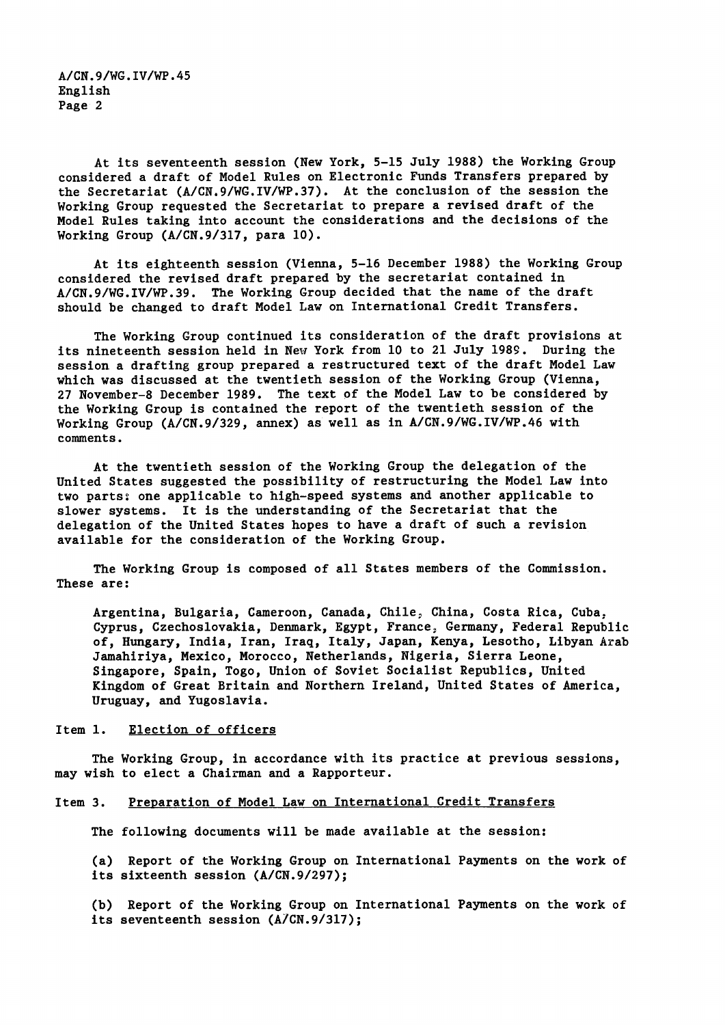**A/CN.9/WG.IV/WP.45 English Page 2**

**At its seventeenth session (New York, 5-15 July 1988) the Working Group considered a draft of Model Rules on Electronic Funds Transfers prepared by the Secretariat (A/CN.9/WG.IV/WP.37). At the conclusion of the session the Working Group requested the Secretariat to prepare a revised draft of the Model Rules taking into account the considerations and the decisions of the Working Group (A/CN.9/317, para 10).**

**At its eighteenth session (Vienna, 5-16 December 1988) the Working Group considered the revised draft prepared by the secretariat contained in A/CN.9/WG.IV/WP.39. The Working Group decided that the name of the draft should be changed to draft Model Law on International Credit Transfers.**

**The Working Group continued its consideration of the draft provisions at its nineteenth session held in New York from 10 to 21 July 1989. During the session a drafting group prepared a restructured text of the draft Model Law which was discussed at the twentieth session of the Working Group (Vienna, 27 November-8 December 1989. The text of the Model Law to be considered by the Working Group is contained the report of the twentieth session of the Working Group (A/CN.9/329, annex) as well as in A/CN.9/WG.IV/WP.46 with comments.**

**At the twentieth session of the Working Group the delegation of the United States suggested the possibility of restructuring the Model Law into two parts** 2 **one applicable to high-speed systems and another applicable to slower systems. It is the understanding of the Secretariat that the delegation of the United States hopes to have a draft of such a revision available for the consideration of the Working Group.**

**The Working Group is composed of all States members of the Commission. These are:**

Argentina, Bulgaria, Cameroon, Canada, Chile, China, Costa Rica, Cuba, **Cyprus, Czechoslovakia, Denmark, Egypt, Franccj Germany, Federal Republic of, Hungary, India, Iran, Iraq, Italy, Japan, Kenya, Lesotho, Libyan Arab Jamahiriya, Mexico, Morocco, Netherlands, Nigeria, Sierra Leone, Singapore, Spain, Togo, Union of Soviet Socialist Republics, United Kingdom of Great Britain and Northern Ireland, United States of America, Uruguay, and Yugoslavia.**

### **Item 1. Election of officers**

**The Working Group, in accordance with its practice at previous sessions, may wish to elect a Chairman and a Rapporteur.**

#### **Item 3. Preparation of Model Law on International Credit Transfers**

**The following documents will be made available at the session:**

**(a) Report of the Working Group on International Payments on the work of its sixteenth session (A/CN.9/297);**

**(b) Report of the Working Group on International Payments on the work of its seventeenth session (A/CN.9/317);**